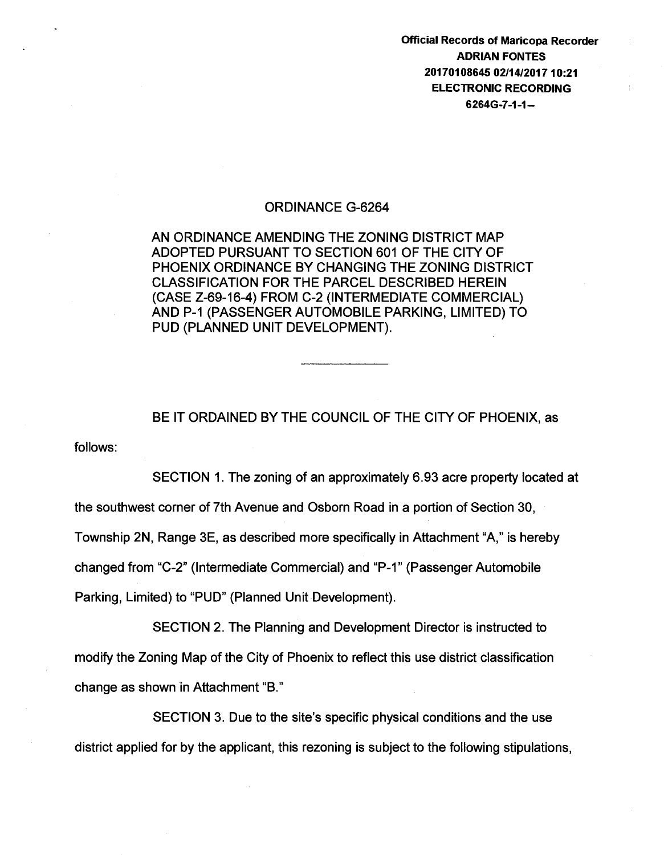Official Records of Maricopa Recorder ADRIAN FONTES 20170108645 02/14/201710:21 ELECTRONIC RECORDING 6264G-7 -1-1-

### ORDINANCE G-6264

AN ORDINANCE AMENDING THE ZONING DISTRICT MAP ADOPTED PURSUANT TO SECTION 601 OF THE CITY OF PHOENIX ORDINANCE BY CHANGING THE ZONING DISTRICT CLASSIFICATION FOR THE PARCEL DESCRIBED HEREIN (CASE Z-69-16-4) FROM C-2 (INTERMEDIATE COMMERCIAL) AND P-1 (PASSENGER AUTOMOBILE PARKING, LIMITED) TO PUD (PLANNED UNIT DEVELOPMENT).

follows: BE IT ORDAINED BY THE COUNCIL OF THE CITY OF PHOENIX, as

SECTION 1. The zoning of an approximately 6.93 acre property located at the southwest corner of 7th Avenue and Osborn Road in a portion of Section 30, Township 2N, Range 3E, as described more specifically in Attachment "A," is hereby changed from "C-2" (Intermediate Commercial) and "P-1" (Passenger Automobile Parking, Limited) to "PUD" (Planned Unit Development).

SECTION 2. The Planning and Development Director is instructed to modify the Zoning Map of the City of Phoenix to reflect this use district classification change as shown in Attachment "B."

SECTION 3. Due to the site's specific physical conditions and the use district applied for by the applicant, this rezoning is subject to the following stipulations,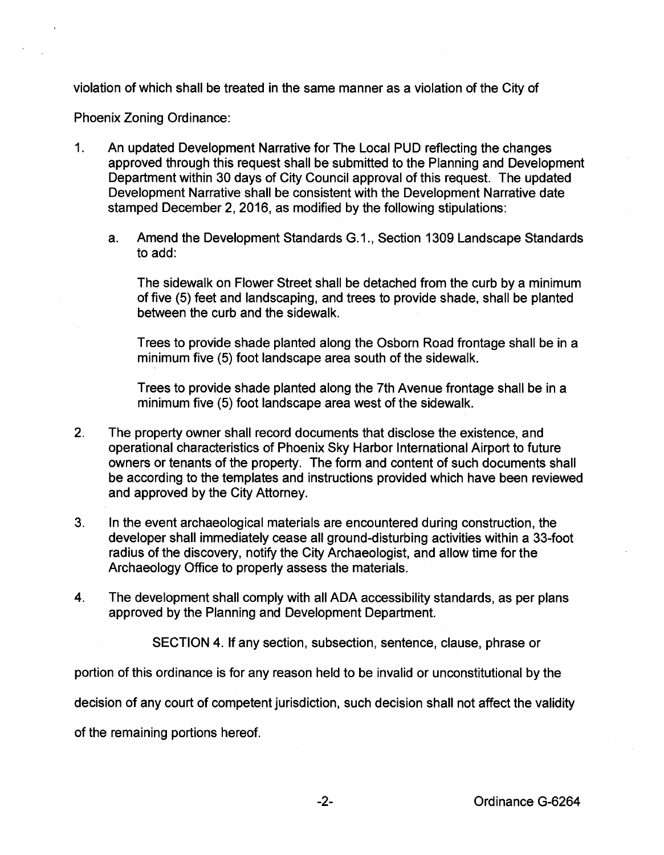violation of which shall be treated in the same manner as a violation of the City of

Phoenix Zoning Ordinance:

- 1. An updated Development Narrative for The Local PUD reflecting the changes approved through this request shall be submitted to the Planning and Development Department within 30 days of City Council approval of this request. The updated Development Narrative shall be consistent with the Development Narrative date stamped December 2, 2016, as modified by the following stipulations:
	- a. Amend the Development Standards G.1., Section 1309 Landscape Standards to add:

The sidewalk on Flower Street shall be detached from the curb by a minimum of five (5) feet and landscaping, and trees to provide shade, shall be planted between the curb and the sidewalk.

Trees to provide shade planted along the Osborn Road frontage shall be in a minimum five (5) foot landscape area south of the sidewalk.

Trees to provide shade planted along the 7th Avenue frontage shall be in a minimum five (5) foot landscape area west of the sidewalk.

- 2. The property owner shall record documents that disclose the existence, and operational characteristics of Phoenix Sky Harbor International Airport to future owners or tenants of the property. The form and content of such documents shall be according to the templates and instructions provided which have been reviewed and approved by the City Attorney.
- 3. In the event archaeological materials are encountered during construction, the developer shall immediately cease all ground-disturbing activities within a 33-foot radius of the discovery, notify the City Archaeologist, and allow time for the Archaeology Office to properly assess the materials.
- 4. The development shall comply with all ADA accessibility standards, as per plans approved by the Planning and Development Department.

SECTION 4. If any section, subsection, sentence, clause, phrase or

portion of this ordinance is for any reason held to be invalid or unconstitutional by the

decision of any court of competent jurisdiction, such decision shall not affect the validity

of the remaining portions hereof.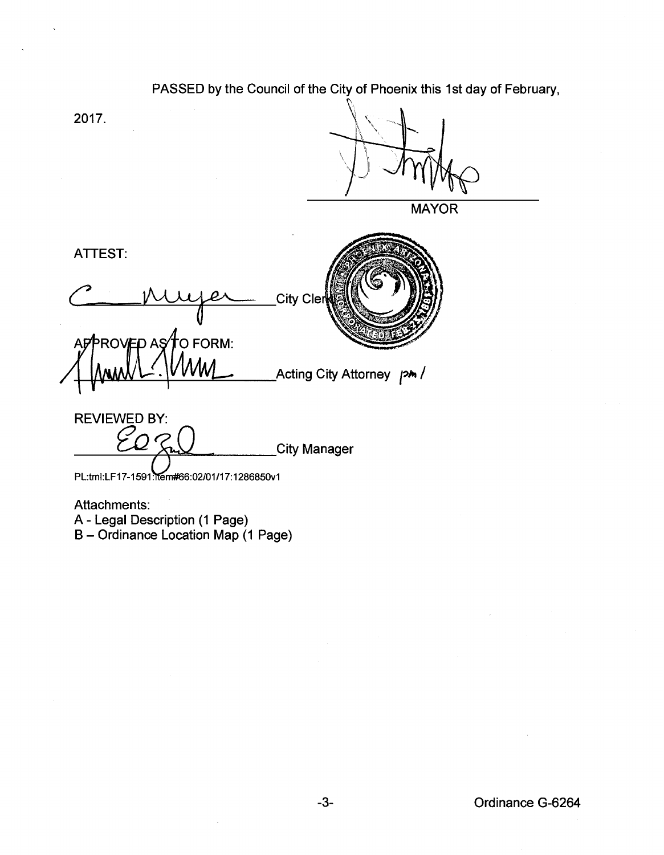# PASSED by the Council of the City of Phoenix this 1st day of February,

2017.



**MAYOR** 

ATTEST: City Cler to Form: **PROVED AS** Acting City Attorney pm /

REVIEWED BY:

**City Manager** 

PL:tml:LF17-1591:ltem#66:02/01/17:1286850v1

Attachments:

A- Legal Description (1 Page)

B- Ordinance Location Map (1 Page)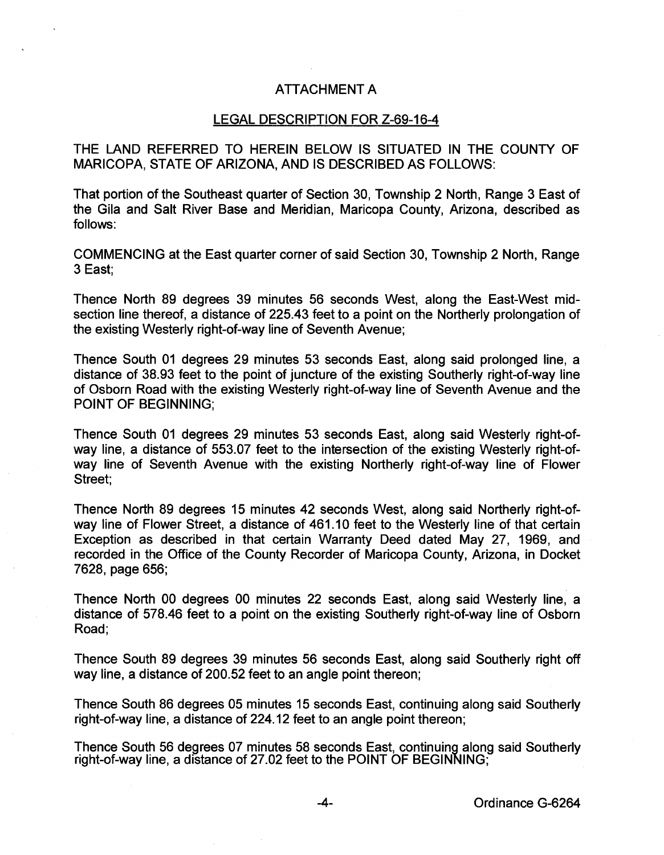## ATTACHMENT A

#### LEGAL DESCRIPTION FOR Z-69-16-4

THE LAND REFERRED TO HEREIN BELOW IS SITUATED IN THE COUNTY OF MARICOPA, STATE OF ARIZONA, AND IS DESCRIBED AS FOLLOWS:

That portion of the Southeast quarter of Section 30, Township 2 North, Range 3 East of the Gila and Salt River Base and Meridian, Maricopa County, Arizona, described as follows:

COMMENCING at the East quarter corner of said Section 30, Township 2 North, Range 3 East;

Thence North 89 degrees 39 minutes 56 seconds West, along the East-West midsection line thereof, a distance of 225.43 feet to a point on the Northerly prolongation of the existing Westerly right-of-way line of Seventh Avenue;

Thence South 01 degrees 29 minutes 53 seconds East, along said prolonged line, a distance of 38.93 feet to the point of juncture of the existing Southerly right-of-way line of Osborn Road with the existing Westerly right-of-way line of Seventh Avenue and the POINT OF BEGINNING;

Thence South 01 degrees 29 minutes 53 seconds East, along said Westerly right-ofway line, a distance of 553.07 feet to the intersection of the existing Westerly right-ofway line of Seventh Avenue with the existing Northerly right-of-way line of Flower Street;

Thence North 89 degrees 15 minutes 42 seconds West, along said Northerly right-ofway line of Flower Street, a distance of 461.10 feet to the Westerly line of that certain Exception as described in that certain Warranty Deed dated May 27, 1969, and recorded in the Office of the County Recorder of Maricopa County, Arizona, in Docket 7628, page 656;

Thence North 00 degrees 00 minutes 22 seconds East, along said Westerly line, a distance of 578.46 feet to a point on the existing Southerly right-of-way line of Osborn Road;

Thence South 89 degrees 39 minutes 56 seconds East, along said Southerly right off way line, a distance of 200.52 feet to an angle point thereon;

Thence South 86 degrees 05 minutes 15 seconds East, continuing along said Southerly right-of-way line, a distance of 224.12 feet to an angle point thereon;

Thence South 56 degrees 07 minutes 58 seconds East, continuing along said Southerly right-of-way line, a distance of 27.02 feet to the POINT OF BEGINNING;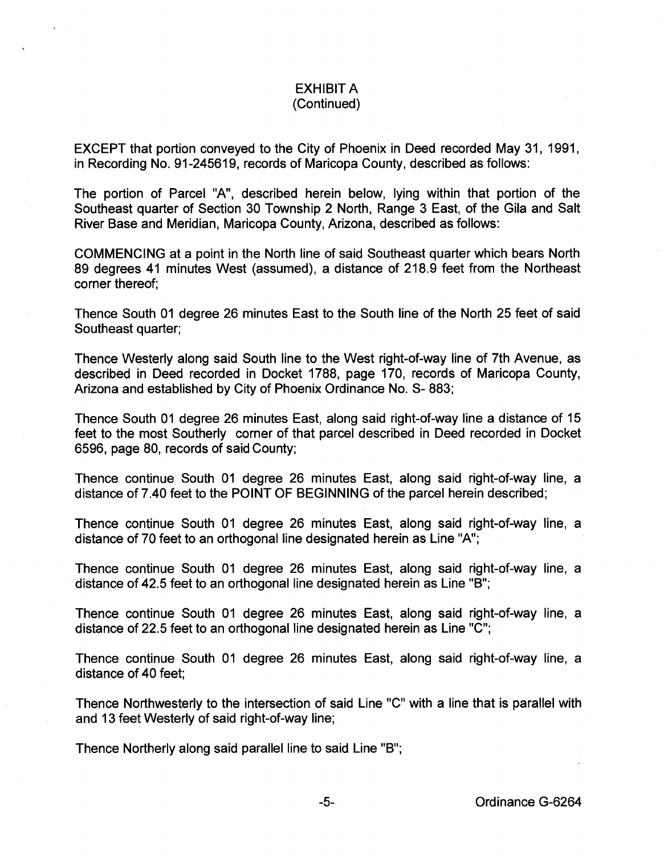## EXHIBIT A (Continued)

EXCEPT that portion conveyed to the City of Phoenix in Deed recorded May 31, 1991, in Recording No. 91-245619, records of Maricopa County, described as follows:

The portion of Parcel "A", described herein below, lying within that portion of the Southeast quarter of Section 30 Township 2 North, Range 3 East, of the Gila and Salt River Base and Meridian, Maricopa County, Arizona, described as follows:

COMMENCING at a point in the North line of said Southeast quarter which bears North 89 degrees 41 minutes West (assumed), a distance of 218.9 feet from the Northeast corner thereof;

Thence South 01 degree 26 minutes East to the South line of the North 25 feet of said Southeast quarter;

Thence Westerly along said South line to the West right-of-way line of 7th Avenue, as described in Deed recorded in Docket 1788, page 170, records of Maricopa County, Arizona and established by City of Phoenix Ordinance No. S- 883;

Thence South 01 degree 26 minutes East, along said right-of-way line a distance of 15 feet to the most Southerly corner of that parcel described in Deed recorded in Docket 6596, page 80, records of said County;

Thence continue South 01 degree 26 minutes East, along said right-of-way line, a distance of 7.40 feet to the POINT OF BEGINNING of the parcel herein described;

Thence continue South 01 degree 26 minutes East, along said right-of-way line, a distance of 70 feet to an orthogonal line designated herein as Line "A";

Thence continue South 01 degree 26 minutes East, along said right-of-way line, a distance of 42.5 feet to an orthogonal line designated herein as Line "B";

Thence continue South 01 degree 26 minutes East, along said right-of-way line, a distance of 22.5 feet to an orthogonal line designated herein as Line "C";

Thence continue South 01 degree 26 minutes East, along said right-of-way line, a distance of 40 feet;

Thence Northwesterly to the intersection of said Line "C" with a line that is parallel with and 13 feet Westerly of said right-of-way line;

Thence Northerly along said parallel line to said Line "B";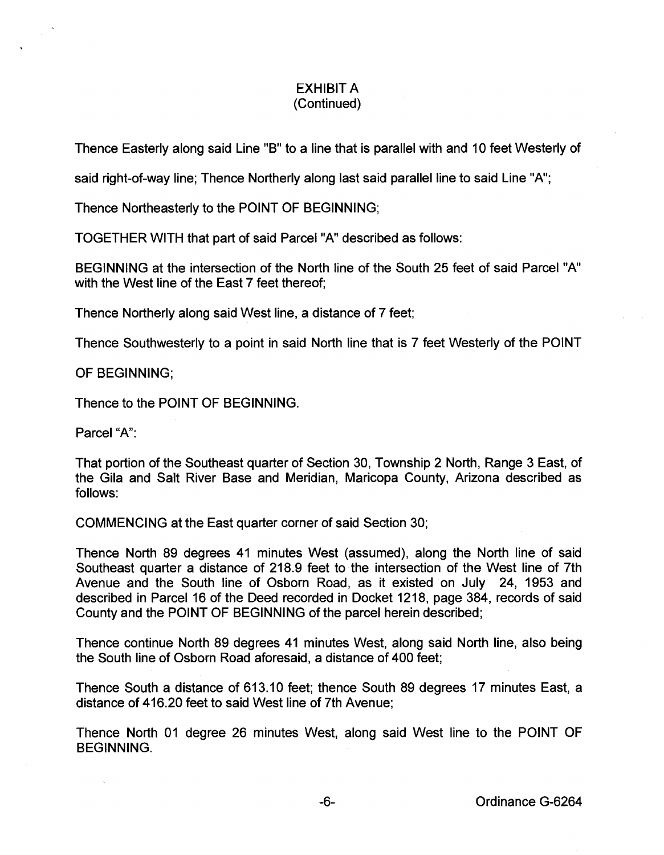## EXHIBIT A (Continued)

Thence Easterly along said Line "B" to a line that is parallel with and 10 feet Westerly of

said right-of-way line; Thence Northerly along last said parallel line to said Line "A";

Thence Northeasterly to the POINT OF BEGINNING;

TOGETHER WITH that part of said Parcei"A" described as follows:

BEGINNING at the intersection of the North line of the South 25 feet of said Parcei"A" with the West line of the East 7 feet thereof;

Thence Northerly along said West line, a distance of 7 feet;

Thence Southwesterly to a point in said North line that is 7 feet Westerly of the POINT

OF BEGINNING;

Thence to the POINT OF BEGINNING.

Parcel "A":

That portion of the Southeast quarter of Section 30, Township 2 North, Range 3 East, of the Gila and Salt River Base and Meridian, Maricopa County, Arizona described as follows:

COMMENCING at the East quarter corner of said Section 30;

Thence North 89 degrees 41 minutes West (assumed), along the North line of said Southeast quarter a distance of 218.9 feet to the intersection of the West line of 7th Avenue and the South line of Osborn Road, as it existed on July 24, 1953 and described in Parcel 16 of the Deed recorded in Docket 1218, page 384, records of said County and the POINT OF BEGINNING of the parcel herein described;

Thence continue North 89 degrees 41 minutes West, along said North line, also being the South line of Osborn Road aforesaid, a distance of 400 feet;

Thence South a distance of 613.10 feet; thence South 89 degrees 17 minutes East, a distance of 416.20 feet to said West line of 7th Avenue;

Thence North 01 degree 26 minutes West, along said West line to the POINT OF BEGINNING.